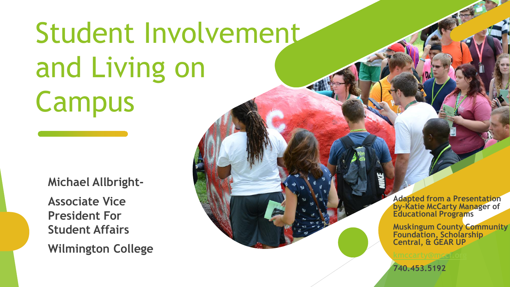# Student Involvement and Living on Campus

**Michael Allbright-**

**Associate Vice President For Student Affairs Wilmington College** **Adapted from a Presentation by-Katie McCarty Manager of Educational Programs**

**Muskingum County Community Foundation, Scholarship Central, & GEAR UP**

**740.453.5192**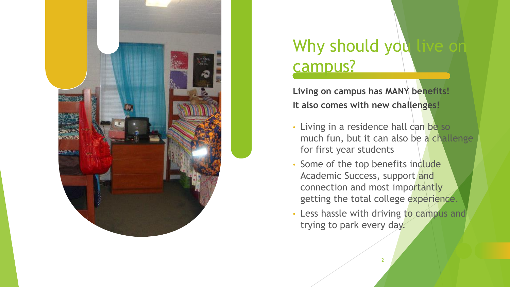

### Why should you live o campus?

**Living on campus has MANY benefits! It also comes with new challenges!**

- Living in a residence hall can be so much fun, but it can also be a challenge for first year students
- Some of the top benefits include Academic Success, support and connection and most importantly getting the total college experience.
- Less hassle with driving to campus and trying to park every day.

2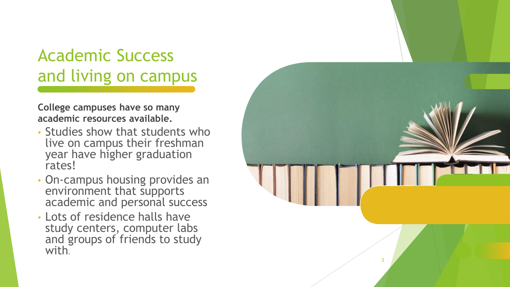### Academic Success and living on campus

**College campuses have so many academic resources available.** 

- Studies show that students who live on campus their freshman year have higher graduation rates!
- On -campus housing provides an environment that supports academic and personal success
- Lots of residence halls have study centers, computer labs and groups of friends to study with.

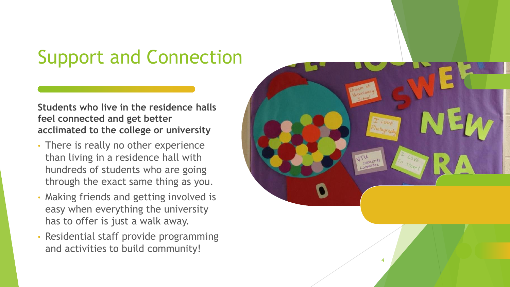# Support and Connection

**Students who live in the residence halls feel connected and get better acclimated to the college or university**

- There is really no other experience than living in a residence hall with hundreds of students who are going through the exact same thing as you.
- Making friends and getting involved is easy when everything the university has to offer is just a walk away.
- Residential staff provide programming and activities to build community!

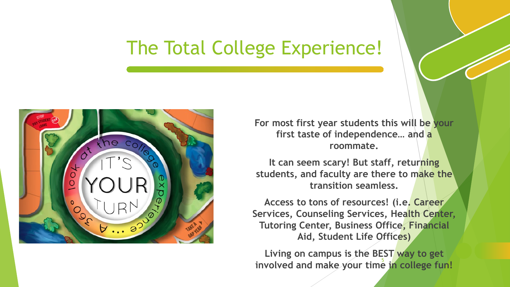## The Total College Experience!



**For most first year students this will be your first taste of independence… and a roommate.** 

**It can seem scary! But staff, returning students, and faculty are there to make the transition seamless.** 

**Access to tons of resources! (i.e. Career Services, Counseling Services, Health Center, Tutoring Center, Business Office, Financial Aid, Student Life Offices)**

involved and make your time in college fun! **Living on campus is the BEST way to get**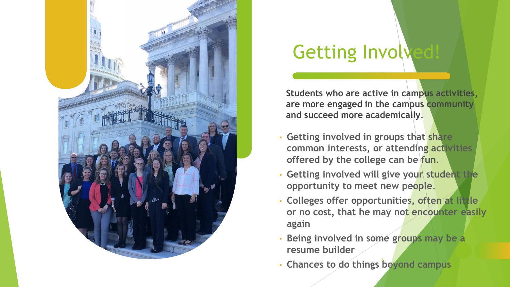

# Getting Involved!

**Students who are active in campus activities, are more engaged in the campus community and succeed more academically**.

- **Getting involved in groups that share common interests, or attending activities offered by the college can be fun**.
- **Getting involved will give your student the opportunity to meet new people**.
- **Colleges offer opportunities, often at little or no cost, that he may not encounter easily again**
- **Being involved in some groups may be a resume builder**
- 6 **Chances to do things beyond campus**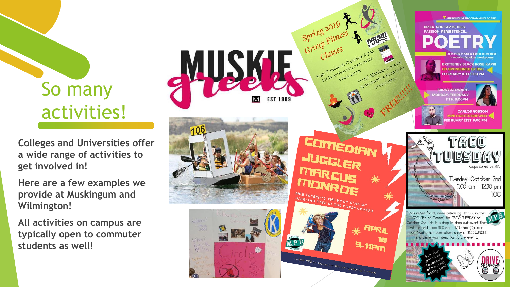# So many activities!

**Colleges and Universities offer a wide range of activities to get involved in!**

**Here are a few examples we provide at Muskingum and Wilmington!**

**All activities on campus are typically open to commuter students as well!**